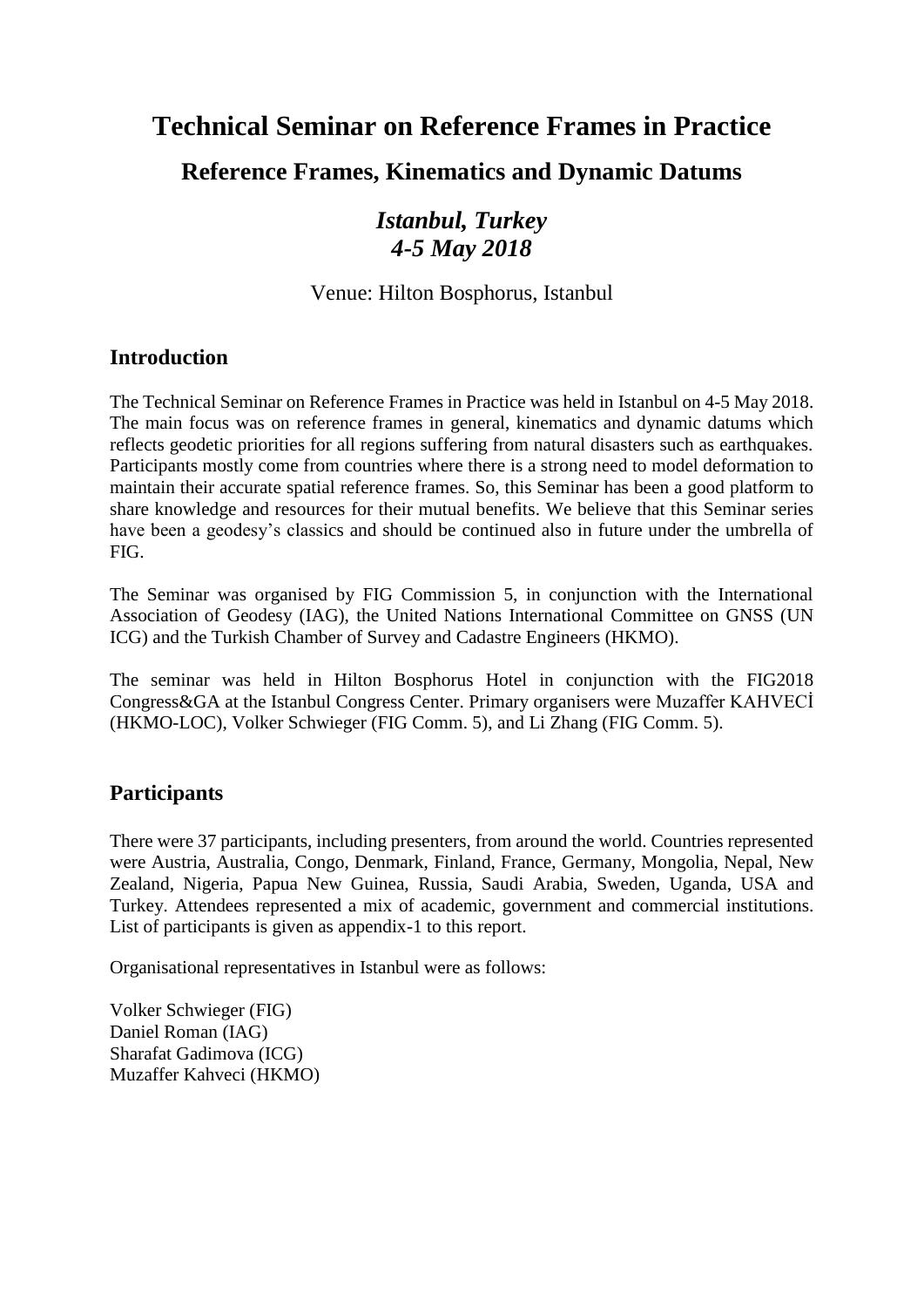# **Technical Seminar on Reference Frames in Practice**

### **Reference Frames, Kinematics and Dynamic Datums**

### *Istanbul, Turkey 4-5 May 2018*

Venue: Hilton Bosphorus, Istanbul

#### **Introduction**

The Technical Seminar on Reference Frames in Practice was held in Istanbul on 4-5 May 2018. The main focus was on reference frames in general, kinematics and dynamic datums which reflects geodetic priorities for all regions suffering from natural disasters such as earthquakes. Participants mostly come from countries where there is a strong need to model deformation to maintain their accurate spatial reference frames. So, this Seminar has been a good platform to share knowledge and resources for their mutual benefits. We believe that this Seminar series have been a geodesy's classics and should be continued also in future under the umbrella of FIG.

The Seminar was organised by FIG Commission 5, in conjunction with the International Association of Geodesy (IAG), the United Nations International Committee on GNSS (UN ICG) and the Turkish Chamber of Survey and Cadastre Engineers (HKMO).

The seminar was held in Hilton Bosphorus Hotel in conjunction with the FIG2018 Congress&GA at the Istanbul Congress Center. Primary organisers were Muzaffer KAHVECİ (HKMO-LOC), Volker Schwieger (FIG Comm. 5), and Li Zhang (FIG Comm. 5).

#### **Participants**

There were 37 participants, including presenters, from around the world. Countries represented were Austria, Australia, Congo, Denmark, Finland, France, Germany, Mongolia, Nepal, New Zealand, Nigeria, Papua New Guinea, Russia, Saudi Arabia, Sweden, Uganda, USA and Turkey. Attendees represented a mix of academic, government and commercial institutions. List of participants is given as appendix-1 to this report.

Organisational representatives in Istanbul were as follows:

Volker Schwieger (FIG) Daniel Roman (IAG) Sharafat Gadimova (ICG) Muzaffer Kahveci (HKMO)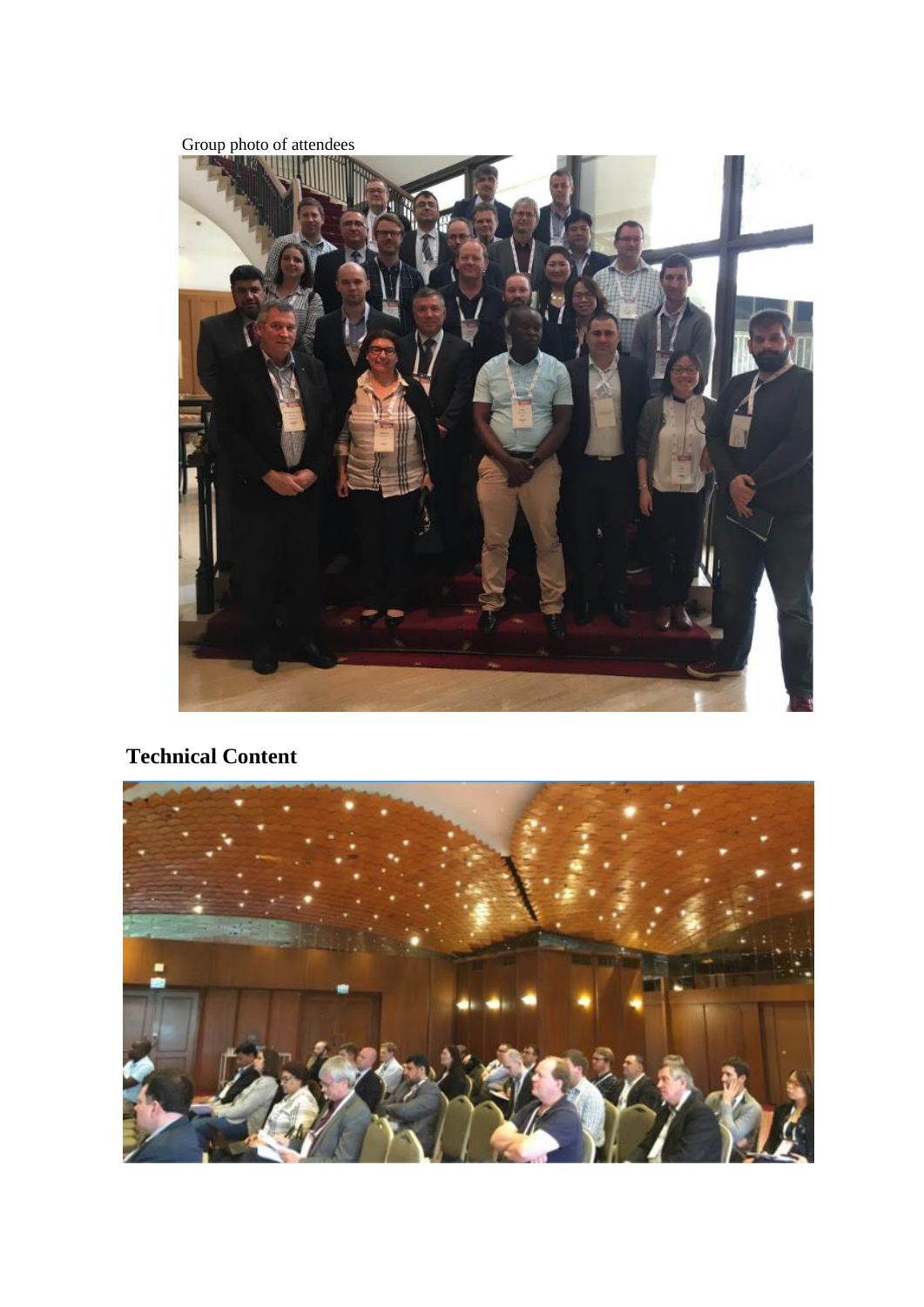Group photo of attendees



### **Technical Content**

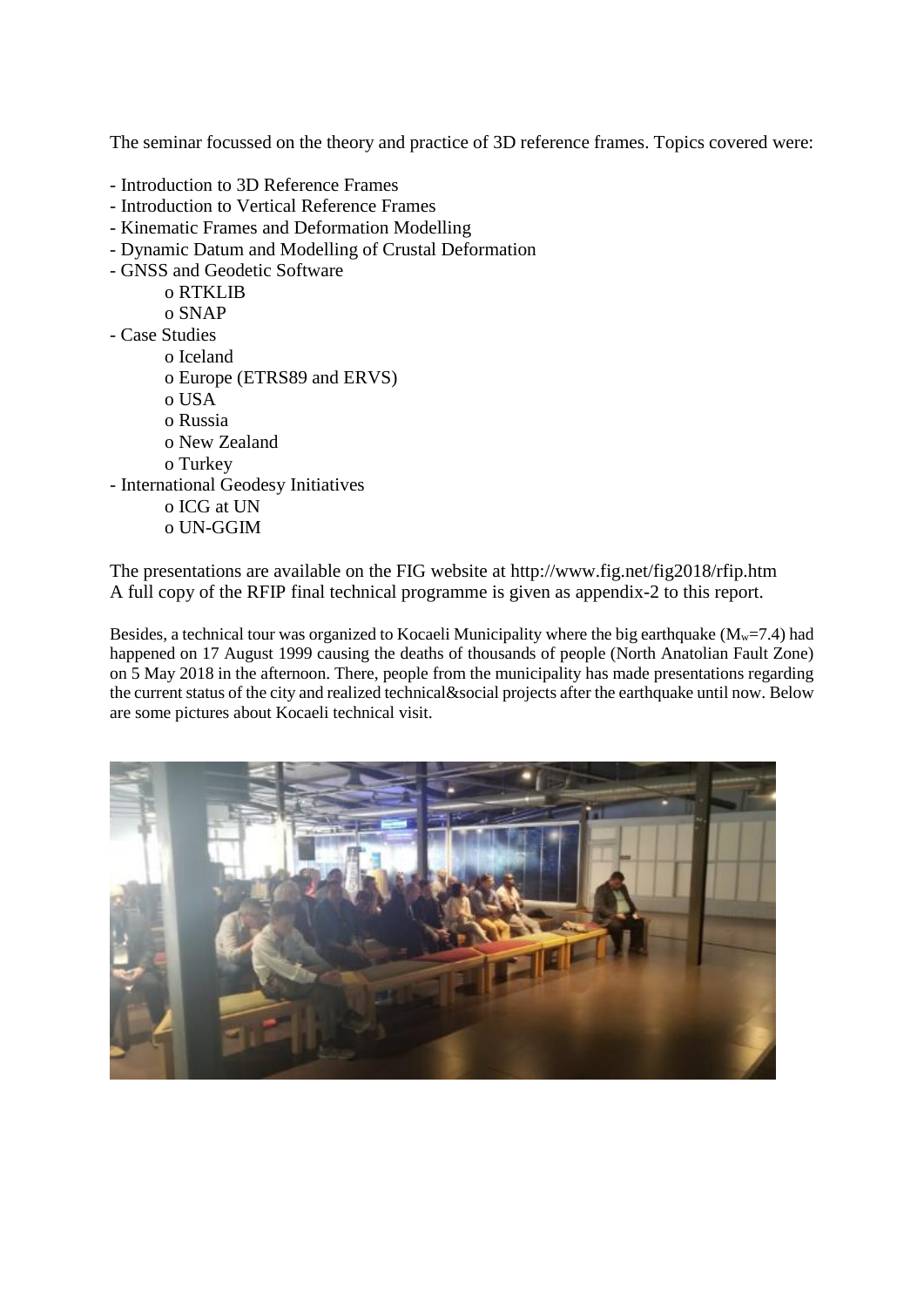The seminar focussed on the theory and practice of 3D reference frames. Topics covered were:

- Introduction to 3D Reference Frames
- Introduction to Vertical Reference Frames
- Kinematic Frames and Deformation Modelling
- Dynamic Datum and Modelling of Crustal Deformation
- GNSS and Geodetic Software
	- o RTKLIB
	- o SNAP
- Case Studies
	- o Iceland o Europe (ETRS89 and ERVS) o USA o Russia o New Zealand o Turkey
- International Geodesy Initiatives
	- o ICG at UN
	- o UN-GGIM

The presentations are available on the FIG website at http://www.fig.net/fig2018/rfip.htm A full copy of the RFIP final technical programme is given as appendix-2 to this report.

Besides, a technical tour was organized to Kocaeli Municipality where the big earthquake ( $M<sub>w</sub>=7.4$ ) had happened on 17 August 1999 causing the deaths of thousands of people (North Anatolian Fault Zone) on 5 May 2018 in the afternoon. There, people from the municipality has made presentations regarding the current status of the city and realized technical&social projects after the earthquake until now. Below are some pictures about Kocaeli technical visit.

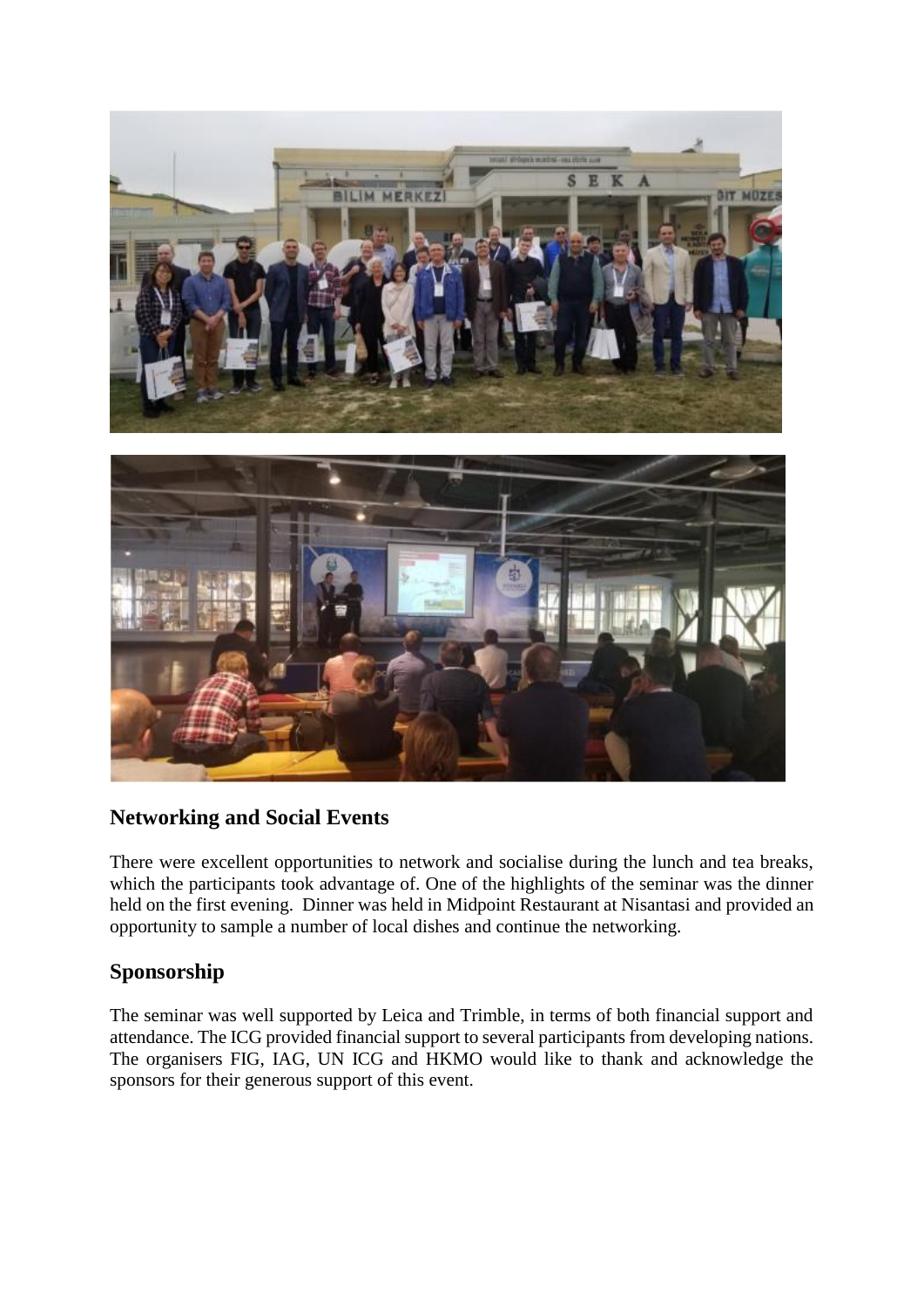

#### **Networking and Social Events**

There were excellent opportunities to network and socialise during the lunch and tea breaks, which the participants took advantage of. One of the highlights of the seminar was the dinner held on the first evening. Dinner was held in Midpoint Restaurant at Nisantasi and provided an opportunity to sample a number of local dishes and continue the networking.

#### **Sponsorship**

The seminar was well supported by Leica and Trimble, in terms of both financial support and attendance. The ICG provided financial support to several participants from developing nations. The organisers FIG, IAG, UN ICG and HKMO would like to thank and acknowledge the sponsors for their generous support of this event.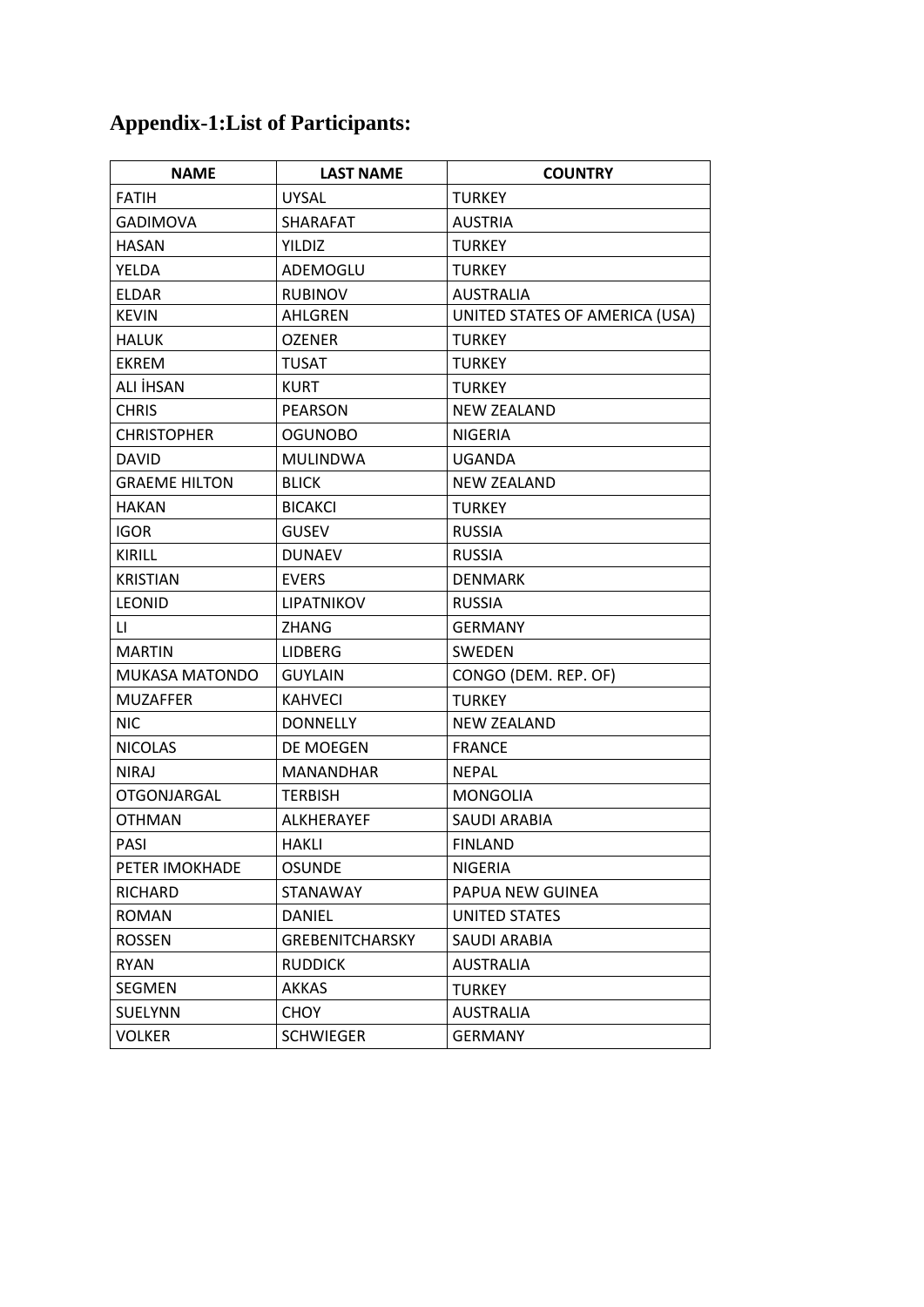# **Appendix-1:List of Participants:**

| <b>NAME</b>           | <b>LAST NAME</b>       | <b>COUNTRY</b>                 |  |
|-----------------------|------------------------|--------------------------------|--|
| <b>FATIH</b>          | <b>UYSAL</b>           | <b>TURKEY</b>                  |  |
| <b>GADIMOVA</b>       | <b>SHARAFAT</b>        | <b>AUSTRIA</b>                 |  |
| <b>HASAN</b>          | YILDIZ                 | <b>TURKEY</b>                  |  |
| YELDA                 | ADEMOGLU               | <b>TURKEY</b>                  |  |
| <b>ELDAR</b>          | <b>RUBINOV</b>         | <b>AUSTRALIA</b>               |  |
| <b>KEVIN</b>          | AHLGREN                | UNITED STATES OF AMERICA (USA) |  |
| <b>HALUK</b>          | <b>OZENER</b>          | <b>TURKEY</b>                  |  |
| <b>EKREM</b>          | TUSAT                  | <b>TURKEY</b>                  |  |
| ALI İHSAN             | KURT                   | <b>TURKEY</b>                  |  |
| <b>CHRIS</b>          | <b>PEARSON</b>         | <b>NEW ZEALAND</b>             |  |
| <b>CHRISTOPHER</b>    | <b>OGUNOBO</b>         | <b>NIGERIA</b>                 |  |
| <b>DAVID</b>          | <b>MULINDWA</b>        | UGANDA                         |  |
| <b>GRAEME HILTON</b>  | <b>BLICK</b>           | <b>NEW ZEALAND</b>             |  |
| <b>HAKAN</b>          | <b>BICAKCI</b>         | <b>TURKEY</b>                  |  |
| <b>IGOR</b>           | <b>GUSEV</b>           | <b>RUSSIA</b>                  |  |
| <b>KIRILL</b>         | <b>DUNAEV</b>          | <b>RUSSIA</b>                  |  |
| <b>KRISTIAN</b>       | <b>EVERS</b>           | <b>DENMARK</b>                 |  |
| <b>LEONID</b>         | LIPATNIKOV             | <b>RUSSIA</b>                  |  |
| LI.                   | <b>ZHANG</b>           | <b>GERMANY</b>                 |  |
| <b>MARTIN</b>         | <b>LIDBERG</b>         | <b>SWEDEN</b>                  |  |
| <b>MUKASA MATONDO</b> | <b>GUYLAIN</b>         | CONGO (DEM. REP. OF)           |  |
| <b>MUZAFFER</b>       | <b>KAHVECI</b>         | TURKEY                         |  |
| NIC.                  | <b>DONNELLY</b>        | <b>NEW ZEALAND</b>             |  |
| <b>NICOLAS</b>        | DE MOEGEN              | <b>FRANCE</b>                  |  |
| <b>NIRAJ</b>          | <b>MANANDHAR</b>       | <b>NEPAL</b>                   |  |
| <b>OTGONJARGAL</b>    | <b>TERBISH</b>         | <b>MONGOLIA</b>                |  |
| <b>OTHMAN</b>         | ALKHERAYEF             | <b>SAUDI ARABIA</b>            |  |
| <b>PASI</b>           | <b>HAKLI</b>           | <b>FINLAND</b>                 |  |
| PETER IMOKHADE        | <b>OSUNDE</b>          | <b>NIGERIA</b>                 |  |
| RICHARD               | STANAWAY               | PAPUA NEW GUINEA               |  |
| ROMAN                 | DANIEL                 | UNITED STATES                  |  |
| <b>ROSSEN</b>         | <b>GREBENITCHARSKY</b> | <b>SAUDI ARABIA</b>            |  |
| <b>RYAN</b>           | <b>RUDDICK</b>         | <b>AUSTRALIA</b>               |  |
| SEGMEN                | <b>AKKAS</b>           | <b>TURKEY</b>                  |  |
| SUELYNN               | CHOY                   | <b>AUSTRALIA</b>               |  |
| <b>VOLKER</b>         | <b>SCHWIEGER</b>       | <b>GERMANY</b>                 |  |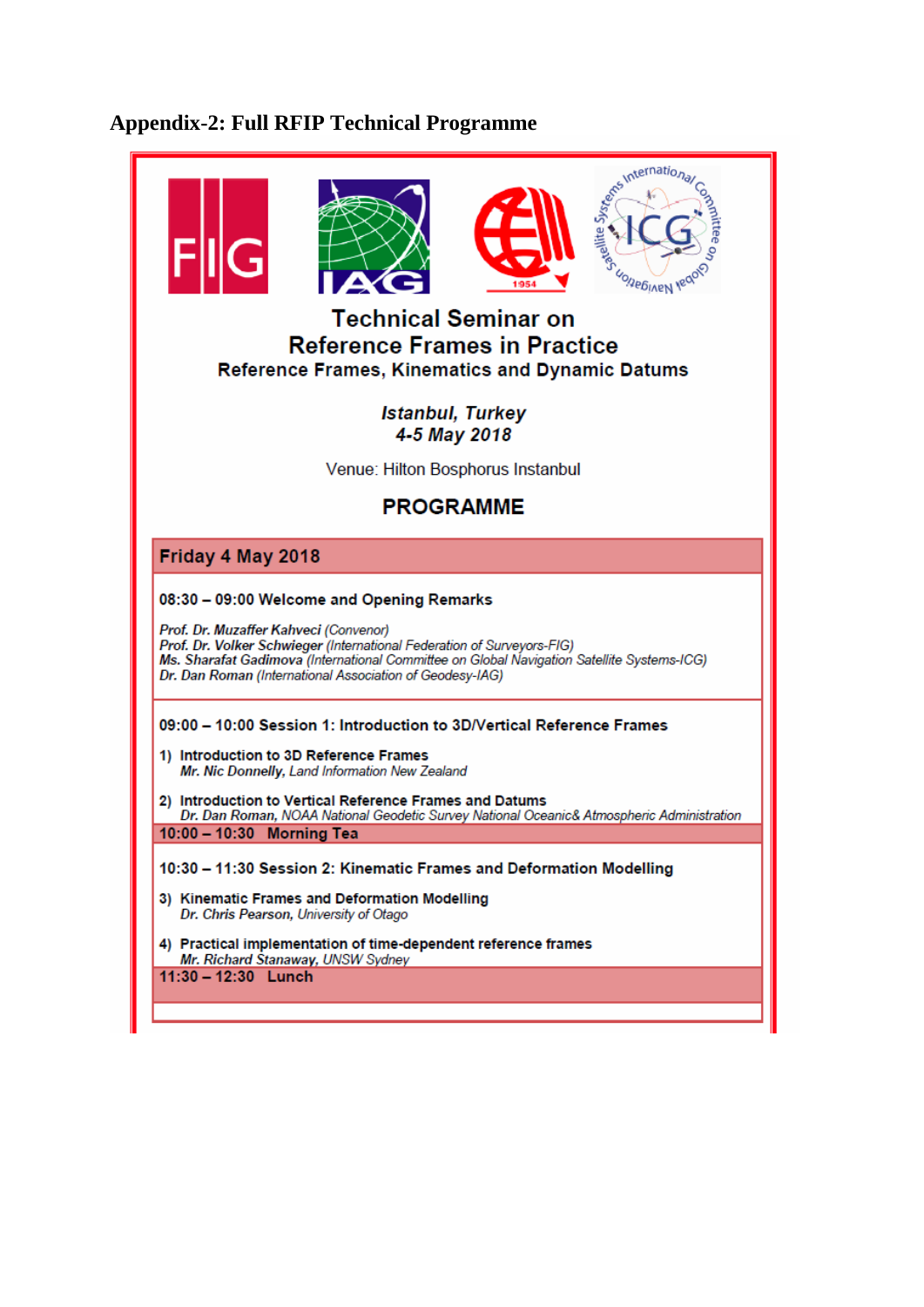# **Appendix-2: Full RFIP Technical Programme**

|                                   | <b>Technical Seminar on</b><br><b>Reference Frames in Practice</b><br><b>Reference Frames, Kinematics and Dynamic Datums</b>                                                                                                                                              |                                         |  | Signs international<br>UOIJEBIAEN VECTO                                                   |  |
|-----------------------------------|---------------------------------------------------------------------------------------------------------------------------------------------------------------------------------------------------------------------------------------------------------------------------|-----------------------------------------|--|-------------------------------------------------------------------------------------------|--|
|                                   |                                                                                                                                                                                                                                                                           | <b>Istanbul, Turkey</b><br>4-5 May 2018 |  |                                                                                           |  |
| Venue: Hilton Bosphorus Instanbul |                                                                                                                                                                                                                                                                           |                                         |  |                                                                                           |  |
| <b>PROGRAMME</b>                  |                                                                                                                                                                                                                                                                           |                                         |  |                                                                                           |  |
| Friday 4 May 2018                 |                                                                                                                                                                                                                                                                           |                                         |  |                                                                                           |  |
|                                   | 08:30 - 09:00 Welcome and Opening Remarks                                                                                                                                                                                                                                 |                                         |  |                                                                                           |  |
|                                   | Prof. Dr. Muzaffer Kahveci (Convenor)<br>Prof. Dr. Volker Schwieger (International Federation of Surveyors-FIG)<br>Ms. Sharafat Gadimova (International Committee on Global Navigation Satellite Systems-ICG)<br>Dr. Dan Roman (International Association of Geodesy-IAG) |                                         |  |                                                                                           |  |
|                                   | 09:00 - 10:00 Session 1: Introduction to 3D/Vertical Reference Frames                                                                                                                                                                                                     |                                         |  |                                                                                           |  |
|                                   | 1) Introduction to 3D Reference Frames<br>Mr. Nic Donnelly, Land Information New Zealand                                                                                                                                                                                  |                                         |  |                                                                                           |  |
|                                   | 2) Introduction to Vertical Reference Frames and Datums                                                                                                                                                                                                                   |                                         |  |                                                                                           |  |
|                                   | 10:00 - 10:30 Morning Tea                                                                                                                                                                                                                                                 |                                         |  | Dr. Dan Roman, NOAA National Geodetic Survey National Oceanic& Atmospheric Administration |  |
|                                   | 10:30 - 11:30 Session 2: Kinematic Frames and Deformation Modelling                                                                                                                                                                                                       |                                         |  |                                                                                           |  |
|                                   | 3) Kinematic Frames and Deformation Modelling<br>Dr. Chris Pearson, University of Otago                                                                                                                                                                                   |                                         |  |                                                                                           |  |
|                                   | 4) Practical implementation of time-dependent reference frames<br>Mr. Richard Stanaway, UNSW Sydney                                                                                                                                                                       |                                         |  |                                                                                           |  |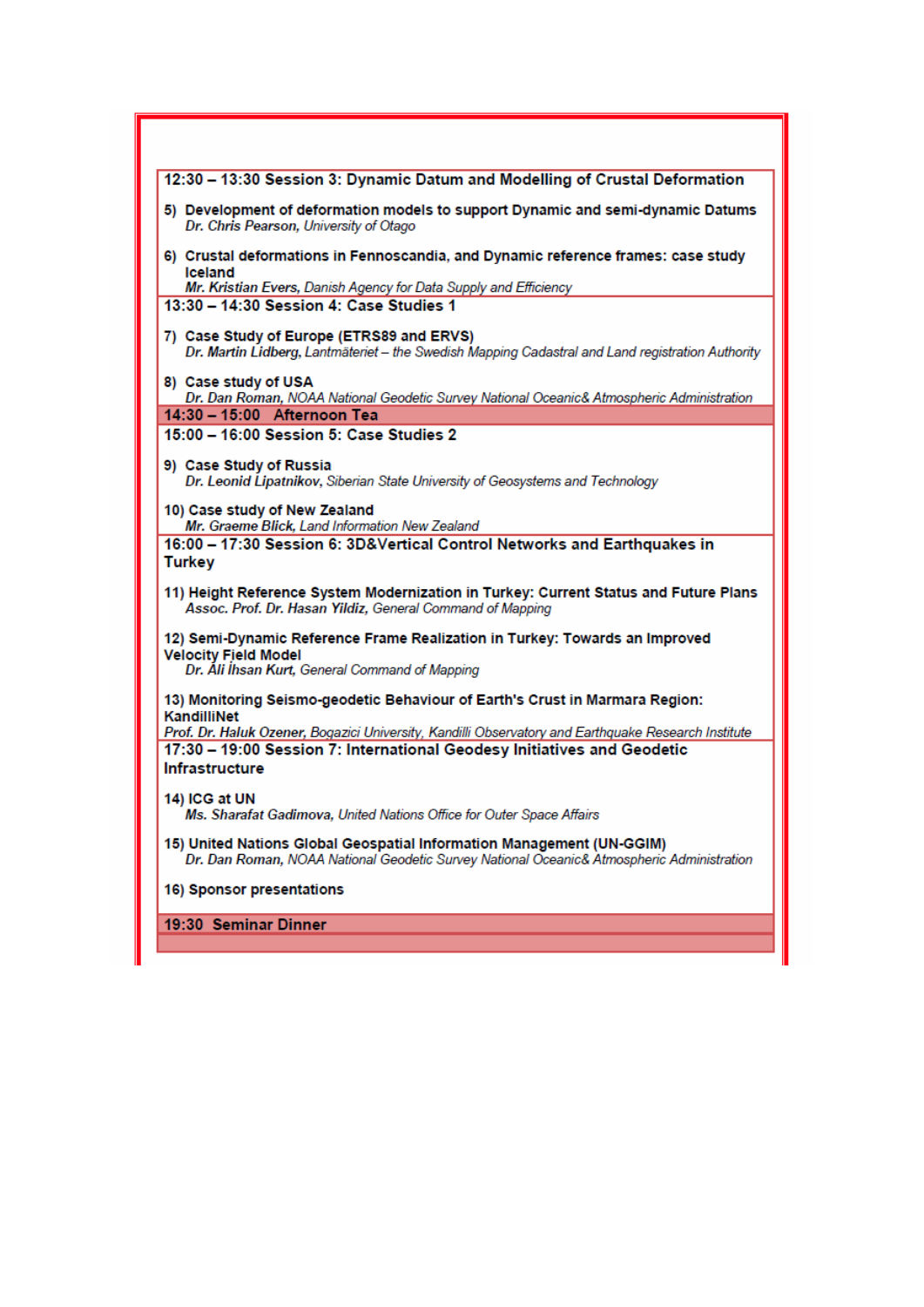| 12:30 - 13:30 Session 3: Dynamic Datum and Modelling of Crustal Deformation                                                                                                    |  |
|--------------------------------------------------------------------------------------------------------------------------------------------------------------------------------|--|
| 5) Development of deformation models to support Dynamic and semi-dynamic Datums<br>Dr. Chris Pearson, University of Otago                                                      |  |
| 6) Crustal deformations in Fennoscandia, and Dynamic reference frames: case study<br>Iceland                                                                                   |  |
| Mr. Kristian Evers, Danish Agency for Data Supply and Efficiency<br>13:30 - 14:30 Session 4: Case Studies 1                                                                    |  |
| 7) Case Study of Europe (ETRS89 and ERVS)<br>Dr. Martin Lidberg, Lantmäteriet - the Swedish Mapping Cadastral and Land registration Authority                                  |  |
| 8) Case study of USA<br>Dr. Dan Roman, NOAA National Geodetic Survey National Oceanic& Atmospheric Administration                                                              |  |
| 14:30 - 15:00 Afternoon Tea                                                                                                                                                    |  |
| 15:00 - 16:00 Session 5: Case Studies 2                                                                                                                                        |  |
| 9) Case Study of Russia<br>Dr. Leonid Lipatnikov, Siberian State University of Geosystems and Technology                                                                       |  |
| 10) Case study of New Zealand<br>Mr. Graeme Blick, Land Information New Zealand                                                                                                |  |
| 16:00 - 17:30 Session 6: 3D&Vertical Control Networks and Earthquakes in<br><b>Turkey</b>                                                                                      |  |
| 11) Height Reference System Modernization in Turkey: Current Status and Future Plans<br>Assoc. Prof. Dr. Hasan Yildiz, General Command of Mapping                              |  |
| 12) Semi-Dynamic Reference Frame Realization in Turkey: Towards an Improved<br><b>Velocity Field Model</b><br>Dr. Ali Ihsan Kurt, General Command of Mapping                   |  |
| 13) Monitoring Seismo-geodetic Behaviour of Earth's Crust in Marmara Region:<br>KandilliNet                                                                                    |  |
| Prof. Dr. Haluk Ozener, Bogazici University, Kandilli Observatory and Earthquake Research Institute<br>17:30 - 19:00 Session 7: International Geodesy Initiatives and Geodetic |  |
| Infrastructure                                                                                                                                                                 |  |
| 14) ICG at UN<br>Ms. Sharafat Gadimova, United Nations Office for Outer Space Affairs                                                                                          |  |
| 15) United Nations Global Geospatial Information Management (UN-GGIM)<br>Dr. Dan Roman, NOAA National Geodetic Survey National Oceanic& Atmospheric Administration             |  |
| 16) Sponsor presentations                                                                                                                                                      |  |
| 19:30 Seminar Dinner                                                                                                                                                           |  |
|                                                                                                                                                                                |  |